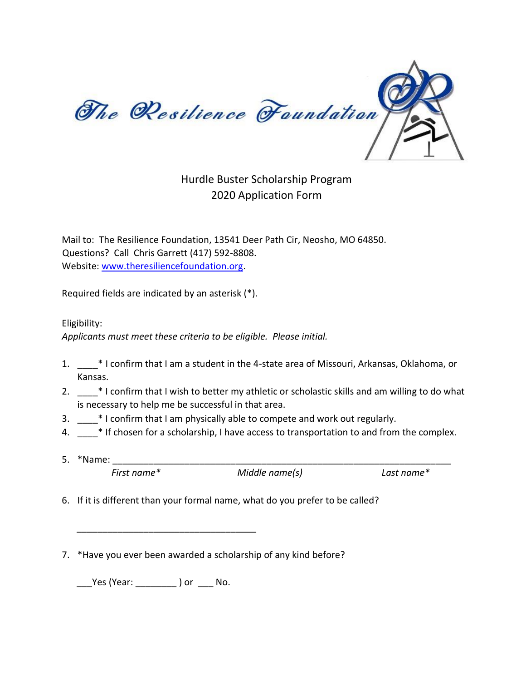

## Hurdle Buster Scholarship Program 2020 Application Form

Mail to: The Resilience Foundation, 13541 Deer Path Cir, Neosho, MO 64850. Questions? Call Chris Garrett (417) 592-8808. Website: [www.theresiliencefoundation.org.](http://www.theresiliencefoundation.org/) 

Required fields are indicated by an asterisk (\*).

Eligibility:

*Applicants must meet these criteria to be eligible. Please initial.*

- 1. \_\_\_\_\* I confirm that I am a student in the 4-state area of Missouri, Arkansas, Oklahoma, or Kansas.
- 2.  $*$  I confirm that I wish to better my athletic or scholastic skills and am willing to do what is necessary to help me be successful in that area.
- 3. \_\_\_\_\* I confirm that I am physically able to compete and work out regularly.
- 4.  $*$  If chosen for a scholarship, I have access to transportation to and from the complex.
- 5. \*Name:

*First name\* Middle name(s) Last name\** 

- 6. If it is different than your formal name, what do you prefer to be called?
- 7. \*Have you ever been awarded a scholarship of any kind before?

\_\_\_Yes (Year: \_\_\_\_\_\_\_\_ ) or \_\_\_ No.

\_\_\_\_\_\_\_\_\_\_\_\_\_\_\_\_\_\_\_\_\_\_\_\_\_\_\_\_\_\_\_\_\_\_\_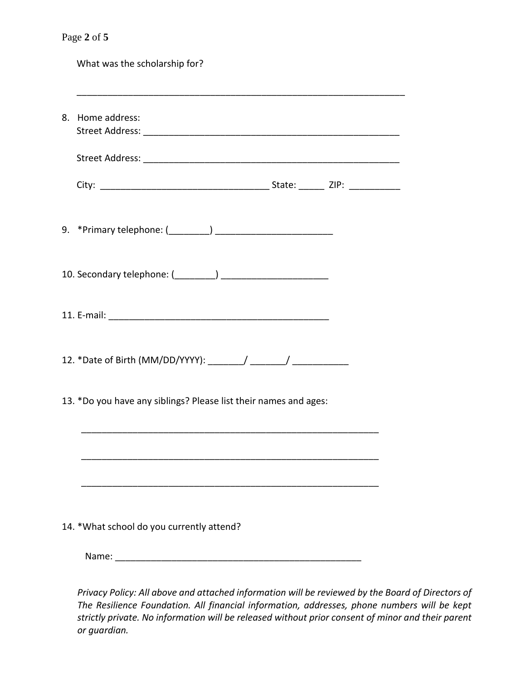| Page 2 of 5                                                      |
|------------------------------------------------------------------|
| What was the scholarship for?                                    |
| 8. Home address:                                                 |
|                                                                  |
|                                                                  |
|                                                                  |
|                                                                  |
|                                                                  |
|                                                                  |
| 13. *Do you have any siblings? Please list their names and ages: |
|                                                                  |
|                                                                  |
| 14. * What school do you currently attend?                       |
| Name:                                                            |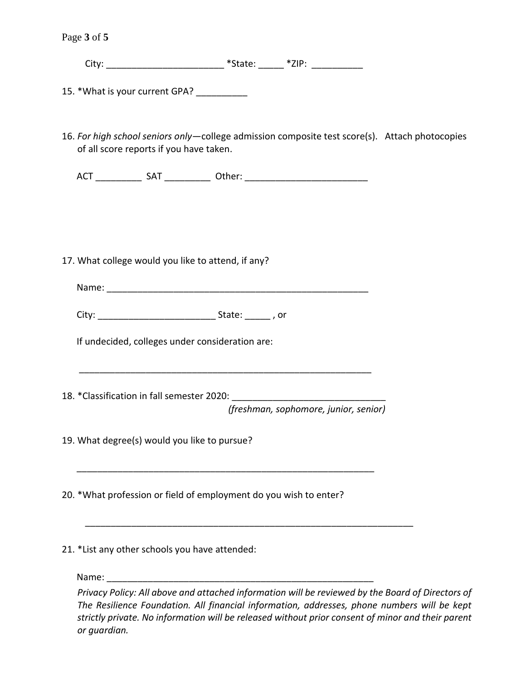Page **3** of **5**

City: \_\_\_\_\_\_\_\_\_\_\_\_\_\_\_\_\_\_\_\_\_\_\_\_\_\_\_\_\_\_\_\_\_\_ \*State: \_\_\_\_\_\_\_ \*ZIP: \_\_\_\_\_\_\_\_\_\_\_\_\_\_\_\_\_

15. \*What is your current GPA?

16. *For high school seniors only*—college admission composite test score(s). Attach photocopies of all score reports if you have taken.

ACT \_\_\_\_\_\_\_\_\_ SAT \_\_\_\_\_\_\_\_\_ Other: \_\_\_\_\_\_\_\_\_\_\_\_\_\_\_\_\_\_\_\_\_\_\_\_

17. What college would you like to attend, if any?

Name:  $\blacksquare$ 

\_\_\_\_\_\_\_\_\_\_\_\_\_\_\_\_\_\_\_\_\_\_\_\_\_\_\_\_\_\_\_\_\_\_\_\_\_\_\_\_\_\_\_\_\_\_\_\_\_\_\_\_\_\_\_\_\_

\_\_\_\_\_\_\_\_\_\_\_\_\_\_\_\_\_\_\_\_\_\_\_\_\_\_\_\_\_\_\_\_\_\_\_\_\_\_\_\_\_\_\_\_\_\_\_\_\_\_\_\_\_\_\_\_\_\_

\_\_\_\_\_\_\_\_\_\_\_\_\_\_\_\_\_\_\_\_\_\_\_\_\_\_\_\_\_\_\_\_\_\_\_\_\_\_\_\_\_\_\_\_\_\_\_\_\_\_\_\_\_\_\_\_\_\_\_\_\_\_\_\_

City: \_\_\_\_\_\_\_\_\_\_\_\_\_\_\_\_\_\_\_\_\_\_\_ State: \_\_\_\_\_ , or

If undecided, colleges under consideration are:

18. \*Classification in fall semester 2020:

*(freshman, sophomore, junior, senior)* 

19. What degree(s) would you like to pursue?

20. \*What profession or field of employment do you wish to enter?

21. \*List any other schools you have attended:

Name: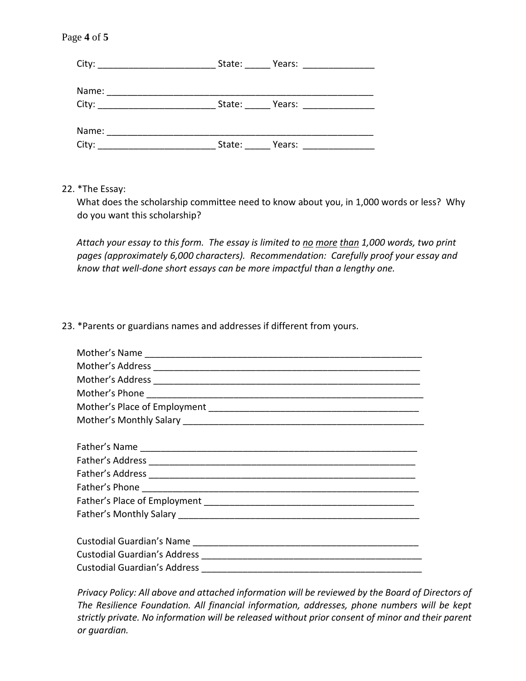## Page **4** of **5**

| City: _____________________________                                                                                                                                                                                            | State: | Years: __________________ |  |
|--------------------------------------------------------------------------------------------------------------------------------------------------------------------------------------------------------------------------------|--------|---------------------------|--|
| Name:                                                                                                                                                                                                                          |        |                           |  |
| City: the contract of the contract of the contract of the contract of the contract of the contract of the contract of the contract of the contract of the contract of the contract of the contract of the contract of the cont | State: | Years: __________________ |  |
|                                                                                                                                                                                                                                |        |                           |  |
| Name:                                                                                                                                                                                                                          |        |                           |  |
| City:                                                                                                                                                                                                                          | State: | Years:                    |  |

22. \*The Essay:

What does the scholarship committee need to know about you, in 1,000 words or less? Why do you want this scholarship?

*Attach your essay to this form. The essay is limited to no more than 1,000 words, two print pages (approximately 6,000 characters). Recommendation: Carefully proof your essay and know that well-done short essays can be more impactful than a lengthy one.* 

## 23. \*Parents or guardians names and addresses if different from yours.